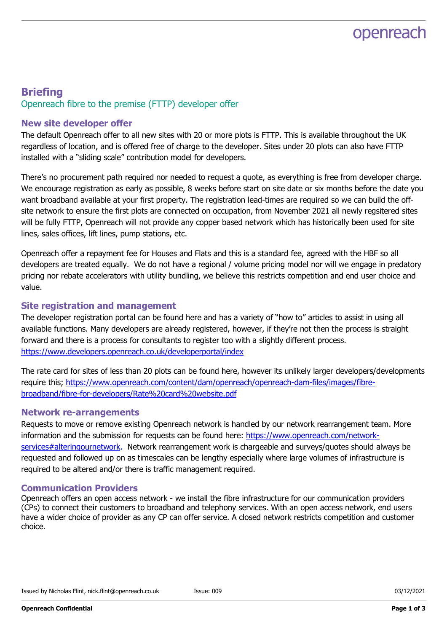# openreach

### **Briefing** Openreach fibre to the premise (FTTP) developer offer

### New site developer offer

The default Openreach offer to all new sites with 20 or more plots is FTTP. This is available throughout the UK regardless of location, and is offered free of charge to the developer. Sites under 20 plots can also have FTTP installed with a "sliding scale" contribution model for developers.

There's no procurement path required nor needed to request a quote, as everything is free from developer charge. We encourage registration as early as possible, 8 weeks before start on site date or six months before the date you want broadband available at your first property. The registration lead-times are required so we can build the offsite network to ensure the first plots are connected on occupation, from November 2021 all newly regsitered sites will be fully FTTP, Openreach will not provide any copper based network which has historically been used for site lines, sales offices, lift lines, pump stations, etc.

Openreach offer a repayment fee for Houses and Flats and this is a standard fee, agreed with the HBF so all developers are treated equally. We do not have a regional / volume pricing model nor will we engage in predatory pricing nor rebate accelerators with utility bundling, we believe this restricts competition and end user choice and value.

### Site registration and management

The developer registration portal can be found here and has a variety of "how to" articles to assist in using all available functions. Many developers are already registered, however, if they're not then the process is straight forward and there is a process for consultants to register too with a slightly different process. https://www.developers.openreach.co.uk/developerportal/index

The rate card for sites of less than 20 plots can be found here, however its unlikely larger developers/developments require this; https://www.openreach.com/content/dam/openreach/openreach-dam-files/images/fibrebroadband/fibre-for-developers/Rate%20card%20website.pdf

### Network re-arrangements

Requests to move or remove existing Openreach network is handled by our network rearrangement team. More information and the submission for requests can be found here: https://www.openreach.com/networkservices#alteringournetwork. Network rearrangement work is chargeable and surveys/quotes should always be requested and followed up on as timescales can be lengthy especially where large volumes of infrastructure is required to be altered and/or there is traffic management required.

### Communication Providers

Openreach offers an open access network - we install the fibre infrastructure for our communication providers (CPs) to connect their customers to broadband and telephony services. With an open access network, end users have a wider choice of provider as any CP can offer service. A closed network restricts competition and customer choice.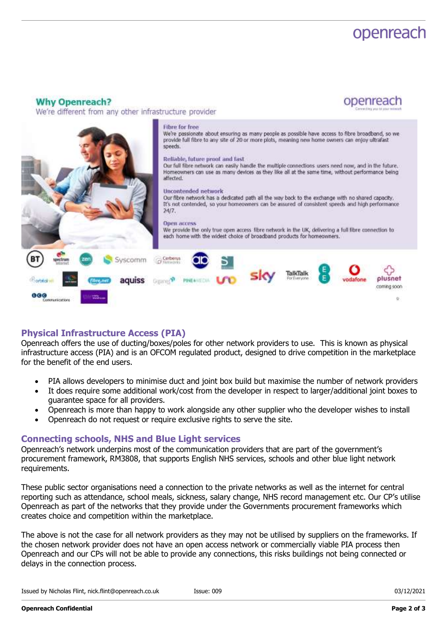## openreach

openreach

#### **Why Openreach?**

We're different from any other infrastructure provider



### Physical Infrastructure Access (PIA)

Openreach offers the use of ducting/boxes/poles for other network providers to use. This is known as physical infrastructure access (PIA) and is an OFCOM regulated product, designed to drive competition in the marketplace for the benefit of the end users.

- PIA allows developers to minimise duct and joint box build but maximise the number of network providers
- It does require some additional work/cost from the developer in respect to larger/additional joint boxes to guarantee space for all providers.
- Openreach is more than happy to work alongside any other supplier who the developer wishes to install
- Openreach do not request or require exclusive rights to serve the site.

#### Connecting schools, NHS and Blue Light services

Openreach's network underpins most of the communication providers that are part of the government's procurement framework, RM3808, that supports English NHS services, schools and other blue light network requirements.

These public sector organisations need a connection to the private networks as well as the internet for central reporting such as attendance, school meals, sickness, salary change, NHS record management etc. Our CP's utilise Openreach as part of the networks that they provide under the Governments procurement frameworks which creates choice and competition within the marketplace.

The above is not the case for all network providers as they may not be utilised by suppliers on the frameworks. If the chosen network provider does not have an open access network or commercially viable PIA process then Openreach and our CPs will not be able to provide any connections, this risks buildings not being connected or delays in the connection process.

Issued by Nicholas Flint, nick.flint@openreach.co.uk

Issue: 009 03/12/2021